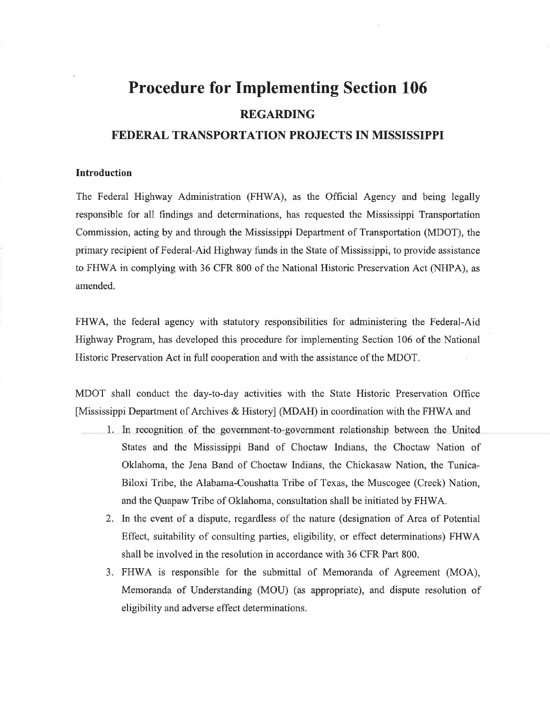# **Procedure for Implementing Section 106 REGARDING**

### FEDERAL TRANSPORTATION PROJECTS IN MISSISSIPPI

### **Introduction**

The Federal Highway Administration (FHWA), as the Official Agency and being legally responsible for all findings and determinations, has requested the Mississippi Transportation Commission, acting by and through the Mississippi Department of Transportation (MDOT), the primary recipient of Federal-Aid Highway funds in the State of Mississippi, to provide assistance to FHWA in complying with 36 CFR 800 of the National Historic Preservation Act (NHPA), as amended.

FHWA, the federal agency with statutory responsibilities for administering the Federal-Aid Highway Program, has developed this procedure for implementing Section 106 of the National Historic Preservation Act in full cooperation and with the assistance of the MDOT.

MDOT shall conduct the day-to-day activities with the State Historic Preservation Office [Mississippi Department of Archives & History] (MDAH) in coordination with the FHWA and

- 1. In recognition of the government-to-government relationship between the United States and the Mississippi Band of Choctaw Indians, the Choctaw Nation of Oklahoma, the Jena Band of Choctaw Indians, the Chickasaw Nation, the Tunica-Biloxi Tribe, the Alabama-Coushatta Tribe of Texas, the Muscogee (Creek) Nation, and the Quapaw Tribe of Oklahoma, consultation shall be initiated by FHWA.
	- 2. In the event of a dispute, regardless of the nature (designation of Area of Potential Effect, suitability of consulting parties, eligibility, or effect determinations) FHWA shall be involved in the resolution in accordance with 36 CFR Part 800.
	- 3. FHWA is responsible for the submittal of Memoranda of Agreement (MOA), Memoranda of Understanding (MOU) (as appropriate), and dispute resolution of eligibility and adverse effect determinations.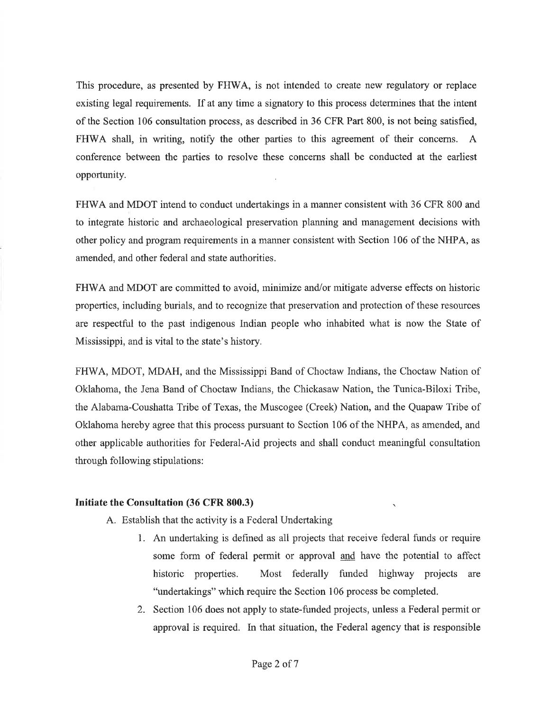This procedure, as presented by FHWA, is not intended to create new regulatory or replace existing legal requirements. If at any time a signatory to this process determines that the intent of the Section 106 consultation process, as described in 36 CFR Part 800, is not being satisfied, FHWA shall, in writing, notify the other parties to this agreement of their concerns. A conference between the parties to resolve these concerns shall be conducted at the earliest opportunity.

FHWA and MDOT intend to conduct undertakings in a manner consistent with 36 CFR 800 and to integrate historic and archaeological preservation planning and management decisions with other policy and program requirements in a manner consistent with Section 106 of the NHPA, as amended, and other federal and state authorities.

FHWA and MDOT are committed to avoid, minimize and/or mitigate adverse effects on historic properties, including burials, and to recognize that preservation and protection of these resources are respectful to the past indigenous Indian people who inhabited what is now the State of Mississippi, and is vital to the state's history.

FHWA, MDOT, MDAH, and the Mississippi Band of Choctaw Indians, the Choctaw Nation of Oklahoma, the Jena Band of Choctaw Indians, the Chickasaw Nation, the Tunica-Biloxi Tribe, the Alabama-Coushatta Tribe of Texas, the Muscogee (Creek) Nation, and the Quapaw Tribe of Oklahoma hereby agree that this process pursuant to Section 106 of the NHPA, as amended, and other applicable authorities for Federal-Aid projects and shall conduct meaningful consultation through following stipulations:

#### Initiate the Consultation (36 CFR 800.3)

- A. Establish that the activity is a Federal Undertaking
	- 1. An undertaking is defined as all projects that receive federal funds or require some form of federal permit or approval and have the potential to affect Most federally funded highway projects are historic properties. "undertakings" which require the Section 106 process be completed.
	- 2. Section 106 does not apply to state-funded projects, unless a Federal permit or approval is required. In that situation, the Federal agency that is responsible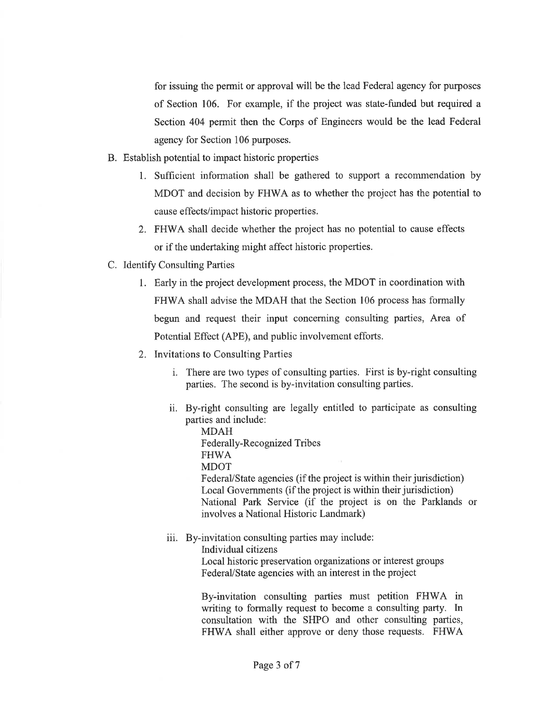for issuing the permit or approval will be the lead Federal agency for purposes of Section 106. For example, if the project was state-funded but required a Section 404 permit then the Corps of Engineers would be the lead Federal agency for Section 106 purposes.

- B. Establish potential to impact historic properties
	- 1. Sufficient information shall be gathered to support a recommendation by MDOT and decision by FHWA as to whether the project has the potential to cause effects/impact historic properties.
	- 2. FHWA shall decide whether the project has no potential to cause effects or if the undertaking might affect historic properties.
- C. Identify Consulting Parties
	- 1. Early in the project development process, the MDOT in coordination with FHWA shall advise the MDAH that the Section 106 process has formally begun and request their input concerning consulting parties, Area of Potential Effect (APE), and public involvement efforts.
	- 2. Invitations to Consulting Parties
		- i. There are two types of consulting parties. First is by-right consulting parties. The second is by-invitation consulting parties.
		- ii. By-right consulting are legally entitled to participate as consulting parties and include:

**MDAH** Federally-Recognized Tribes **FHWA MDOT** Federal/State agencies (if the project is within their jurisdiction) Local Governments (if the project is within their jurisdiction) National Park Service (if the project is on the Parklands or involves a National Historic Landmark)

iii. By-invitation consulting parties may include:

Individual citizens Local historic preservation organizations or interest groups Federal/State agencies with an interest in the project

By-invitation consulting parties must petition FHWA in writing to formally request to become a consulting party. In consultation with the SHPO and other consulting parties, FHWA shall either approve or deny those requests. FHWA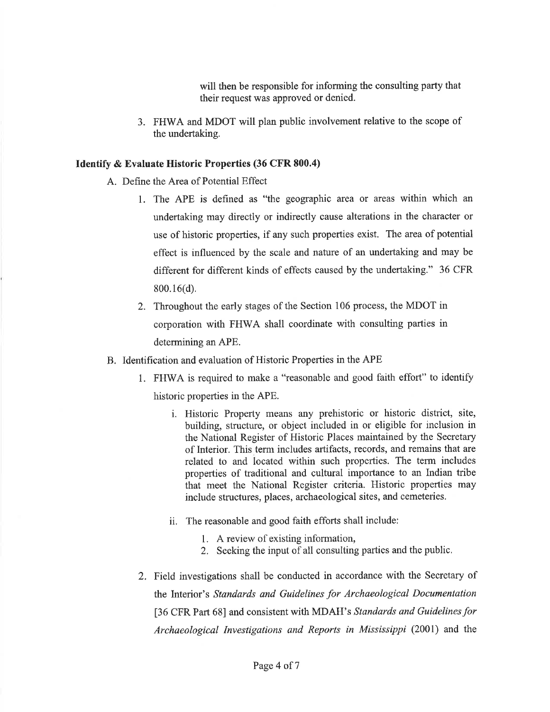will then be responsible for informing the consulting party that their request was approved or denied.

3. FHWA and MDOT will plan public involvement relative to the scope of the undertaking.

### **Identify & Evaluate Historic Properties (36 CFR 800.4)**

- A. Define the Area of Potential Effect
	- 1. The APE is defined as "the geographic area or areas within which an undertaking may directly or indirectly cause alterations in the character or use of historic properties, if any such properties exist. The area of potential effect is influenced by the scale and nature of an undertaking and may be different for different kinds of effects caused by the undertaking." 36 CFR  $800.16(d)$ .
	- 2. Throughout the early stages of the Section 106 process, the MDOT in corporation with FHWA shall coordinate with consulting parties in determining an APE.
- B. Identification and evaluation of Historic Properties in the APE
	- 1. FHWA is required to make a "reasonable and good faith effort" to identify historic properties in the APE.
		- i. Historic Property means any prehistoric or historic district, site, building, structure, or object included in or eligible for inclusion in the National Register of Historic Places maintained by the Secretary of Interior. This term includes artifacts, records, and remains that are related to and located within such properties. The term includes properties of traditional and cultural importance to an Indian tribe that meet the National Register criteria. Historic properties may include structures, places, archaeological sites, and cemeteries.
		- ii. The reasonable and good faith efforts shall include:
			- 1. A review of existing information,
			- 2. Seeking the input of all consulting parties and the public.
	- 2. Field investigations shall be conducted in accordance with the Secretary of the Interior's Standards and Guidelines for Archaeological Documentation [36 CFR Part 68] and consistent with MDAH's Standards and Guidelines for Archaeological Investigations and Reports in Mississippi (2001) and the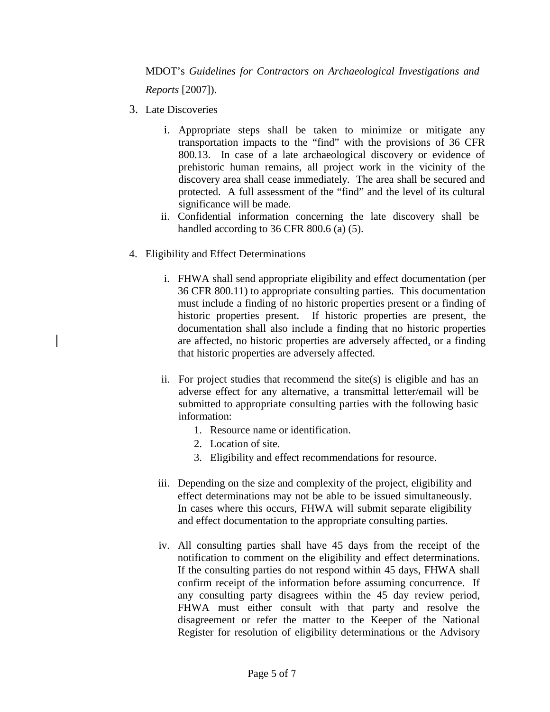MDOT's *Guidelines for Contractors on Archaeological Investigations and Reports* [2007]).

- 3. Late Discoveries
	- i. Appropriate steps shall be taken to minimize or mitigate any transportation impacts to the "find" with the provisions of 36 CFR 800.13. In case of a late archaeological discovery or evidence of prehistoric human remains, all project work in the vicinity of the discovery area shall cease immediately. The area shall be secured and protected. A full assessment of the "find" and the level of its cultural significance will be made.
	- ii. Confidential information concerning the late discovery shall be handled according to 36 CFR 800.6 (a) (5).
- 4. Eligibility and Effect Determinations
	- i. FHWA shall send appropriate eligibility and effect documentation (per 36 CFR 800.11) to appropriate consulting parties. This documentation must include a finding of no historic properties present or a finding of historic properties present. If historic properties are present, the documentation shall also include a finding that no historic properties are affected, no historic properties are adversely affected, or a finding that historic properties are adversely affected.
	- ii. For project studies that recommend the site(s) is eligible and has an adverse effect for any alternative, a transmittal letter/email will be submitted to appropriate consulting parties with the following basic information:
		- 1. Resource name or identification.
		- 2. Location of site.
		- 3. Eligibility and effect recommendations for resource.
	- iii. Depending on the size and complexity of the project, eligibility and effect determinations may not be able to be issued simultaneously. In cases where this occurs, FHWA will submit separate eligibility and effect documentation to the appropriate consulting parties.
	- iv. All consulting parties shall have 45 days from the receipt of the notification to comment on the eligibility and effect determinations. If the consulting parties do not respond within 45 days, FHWA shall confirm receipt of the information before assuming concurrence. If any consulting party disagrees within the 45 day review period, FHWA must either consult with that party and resolve the disagreement or refer the matter to the Keeper of the National Register for resolution of eligibility determinations or the Advisory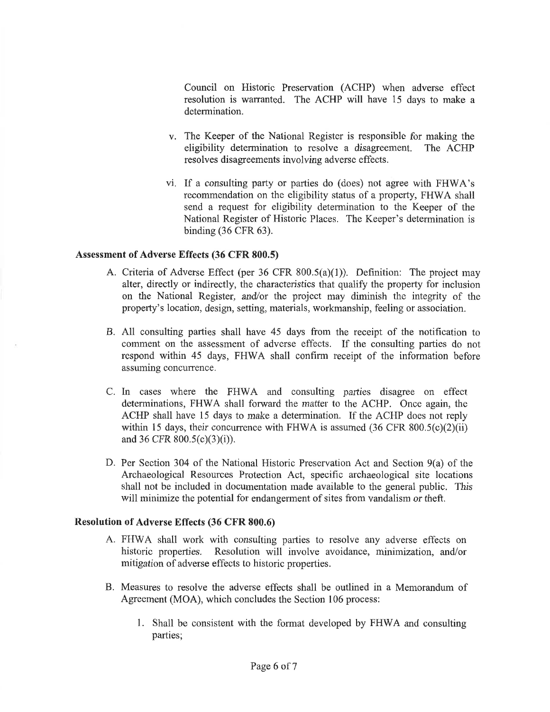Council on Historic Preservation (ACHP) when adverse effect resolution is warranted. The ACHP will have 15 days to make a determination.

- v. The Keeper of the National Register is responsible for making the eligibility determination to resolve a disagreement. The ACHP resolves disagreements involving adverse effects.
- vi. If a consulting party or parties do (does) not agree with FHWA's recommendation on the eligibility status of a property, FHWA shall send a request for eligibility determination to the Keeper of the National Register of Historic Places. The Keeper's determination is binding  $(36$  CFR  $63)$ .

### **Assessment of Adverse Effects (36 CFR 800.5)**

- A. Criteria of Adverse Effect (per 36 CFR  $800.5(a)(1)$ ). Definition: The project may alter, directly or indirectly, the characteristics that qualify the property for inclusion on the National Register, and/or the project may diminish the integrity of the property's location, design, setting, materials, workmanship, feeling or association.
- B. All consulting parties shall have 45 days from the receipt of the notification to comment on the assessment of adverse effects. If the consulting parties do not respond within 45 days, FHWA shall confirm receipt of the information before assuming concurrence.
- C. In cases where the FHWA and consulting parties disagree on effect determinations, FHWA shall forward the matter to the ACHP. Once again, the ACHP shall have 15 days to make a determination. If the ACHP does not reply within 15 days, their concurrence with FHWA is assumed  $(36 \text{ CFR } 800.5(c)(2)(ii))$ and 36 CFR  $800.5(c)(3)(i)$ .
- D. Per Section 304 of the National Historic Preservation Act and Section  $9(a)$  of the Archaeological Resources Protection Act, specific archaeological site locations shall not be included in documentation made available to the general public. This will minimize the potential for endangerment of sites from vandalism or theft.

#### **Resolution of Adverse Effects (36 CFR 800.6)**

- A. FHWA shall work with consulting parties to resolve any adverse effects on historic properties. Resolution will involve avoidance, minimization, and/or mitigation of adverse effects to historic properties.
- B. Measures to resolve the adverse effects shall be outlined in a Memorandum of Agreement (MOA), which concludes the Section 106 process:
	- 1. Shall be consistent with the format developed by FHWA and consulting parties;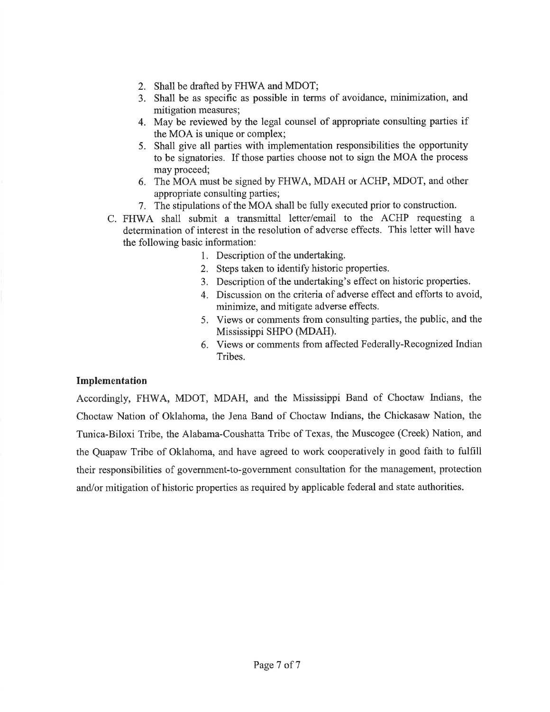- 2. Shall be drafted by FHWA and MDOT;
- 3. Shall be as specific as possible in terms of avoidance, minimization, and mitigation measures:
- 4. May be reviewed by the legal counsel of appropriate consulting parties if the MOA is unique or complex;
- 5. Shall give all parties with implementation responsibilities the opportunity to be signatories. If those parties choose not to sign the MOA the process may proceed:
- 6. The MOA must be signed by FHWA, MDAH or ACHP, MDOT, and other appropriate consulting parties;
- 7. The stipulations of the MOA shall be fully executed prior to construction.
- C. FHWA shall submit a transmittal letter/email to the ACHP requesting a determination of interest in the resolution of adverse effects. This letter will have the following basic information:
	- 1. Description of the undertaking.
	- 2. Steps taken to identify historic properties.
	- 3. Description of the undertaking's effect on historic properties.
	- 4. Discussion on the criteria of adverse effect and efforts to avoid, minimize, and mitigate adverse effects.
	- 5. Views or comments from consulting parties, the public, and the Mississippi SHPO (MDAH).
	- 6. Views or comments from affected Federally-Recognized Indian Tribes.

### Implementation

Accordingly, FHWA, MDOT, MDAH, and the Mississippi Band of Choctaw Indians, the Choctaw Nation of Oklahoma, the Jena Band of Choctaw Indians, the Chickasaw Nation, the Tunica-Biloxi Tribe, the Alabama-Coushatta Tribe of Texas, the Muscogee (Creek) Nation, and the Quapaw Tribe of Oklahoma, and have agreed to work cooperatively in good faith to fulfill their responsibilities of government-to-government consultation for the management, protection and/or mitigation of historic properties as required by applicable federal and state authorities.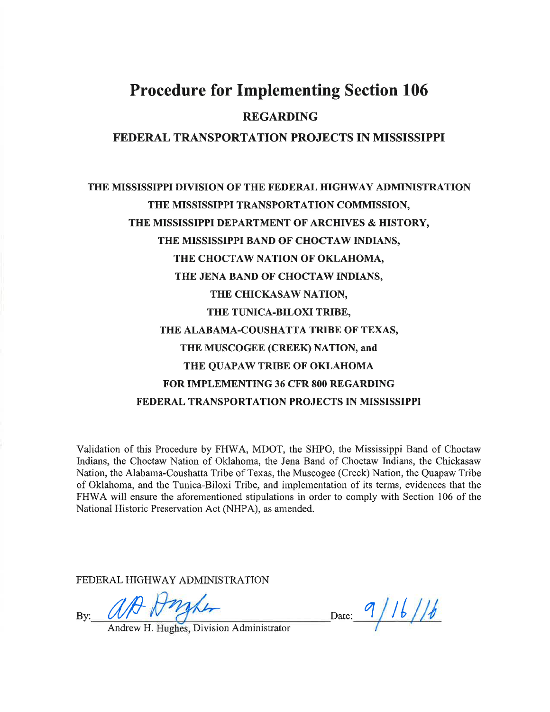### THE MISSISSIPPI DIVISION OF THE FEDERAL HIGHWAY ADMINISTRATION THE MISSISSIPPI TRANSPORTATION COMMISSION, THE MISSISSIPPI DEPARTMENT OF ARCHIVES & HISTORY, THE MISSISSIPPI BAND OF CHOCTAW INDIANS, THE CHOCTAW NATION OF OKLAHOMA, THE JENA BAND OF CHOCTAW INDIANS, THE CHICKASAW NATION, THE TUNICA-BILOXI TRIBE, THE ALABAMA-COUSHATTA TRIBE OF TEXAS, THE MUSCOGEE (CREEK) NATION, and THE QUAPAW TRIBE OF OKLAHOMA **FOR IMPLEMENTING 36 CFR 800 REGARDING** FEDERAL TRANSPORTATION PROJECTS IN MISSISSIPPI

Validation of this Procedure by FHWA, MDOT, the SHPO, the Mississippi Band of Choctaw Indians, the Choctaw Nation of Oklahoma, the Jena Band of Choctaw Indians, the Chickasaw Nation, the Alabama-Coushatta Tribe of Texas, the Muscogee (Creek) Nation, the Quapaw Tribe of Oklahoma, and the Tunica-Biloxi Tribe, and implementation of its terms, evidences that the FHWA will ensure the aforementioned stipulations in order to comply with Section 106 of the National Historic Preservation Act (NHPA), as amended.

FEDERAL HIGHWAY ADMINISTRATION

 $Bv:$ 

Andrew H. Hughes, Division Administrator

Date: 9/16/16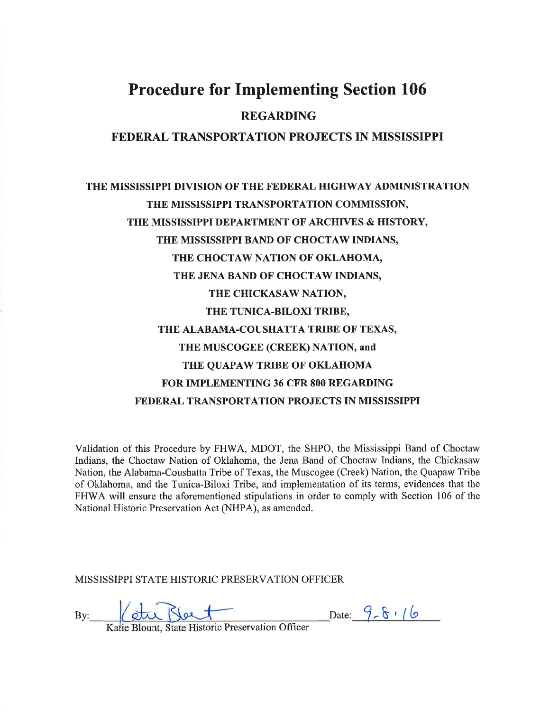### THE MISSISSIPPI DIVISION OF THE FEDERAL HIGHWAY ADMINISTRATION THE MISSISSIPPI TRANSPORTATION COMMISSION. THE MISSISSIPPI DEPARTMENT OF ARCHIVES & HISTORY. THE MISSISSIPPI BAND OF CHOCTAW INDIANS, THE CHOCTAW NATION OF OKLAHOMA, THE JENA BAND OF CHOCTAW INDIANS, THE CHICKASAW NATION, THE TUNICA-BILOXI TRIBE, THE ALABAMA-COUSHATTA TRIBE OF TEXAS, THE MUSCOGEE (CREEK) NATION, and THE QUAPAW TRIBE OF OKLAHOMA **FOR IMPLEMENTING 36 CFR 800 REGARDING** FEDERAL TRANSPORTATION PROJECTS IN MISSISSIPPI

Validation of this Procedure by FHWA, MDOT, the SHPO, the Mississippi Band of Choctaw Indians, the Choctaw Nation of Oklahoma, the Jena Band of Choctaw Indians, the Chickasaw Nation, the Alabama-Coushatta Tribe of Texas, the Muscogee (Creek) Nation, the Quapaw Tribe of Oklahoma, and the Tunica-Biloxi Tribe, and implementation of its terms, evidences that the FHWA will ensure the aforementioned stipulations in order to comply with Section 106 of the National Historic Preservation Act (NHPA), as amended.

MISSISSIPPI STATE HISTORIC PRESERVATION OFFICER

By:

Date:  $9 - 6$  / 6

Katie Blount, State Historic Preservation Officer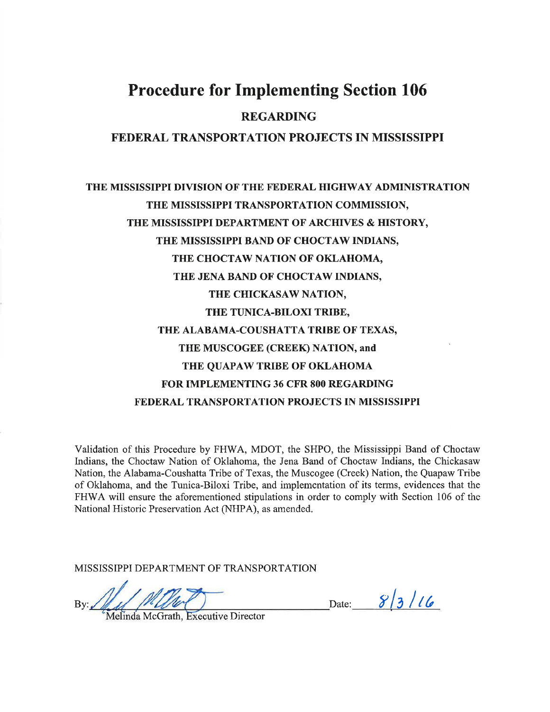### THE MISSISSIPPI DIVISION OF THE FEDERAL HIGHWAY ADMINISTRATION THE MISSISSIPPI TRANSPORTATION COMMISSION, THE MISSISSIPPI DEPARTMENT OF ARCHIVES & HISTORY, THE MISSISSIPPI BAND OF CHOCTAW INDIANS, THE CHOCTAW NATION OF OKLAHOMA, THE JENA BAND OF CHOCTAW INDIANS, THE CHICKASAW NATION, THE TUNICA-BILOXI TRIBE, THE ALABAMA-COUSHATTA TRIBE OF TEXAS, THE MUSCOGEE (CREEK) NATION, and THE QUAPAW TRIBE OF OKLAHOMA **FOR IMPLEMENTING 36 CFR 800 REGARDING** FEDERAL TRANSPORTATION PROJECTS IN MISSISSIPPI

Validation of this Procedure by FHWA, MDOT, the SHPO, the Mississippi Band of Choctaw Indians, the Choctaw Nation of Oklahoma, the Jena Band of Choctaw Indians, the Chickasaw Nation, the Alabama-Coushatta Tribe of Texas, the Muscogee (Creek) Nation, the Quapaw Tribe of Oklahoma, and the Tunica-Biloxi Tribe, and implementation of its terms, evidences that the FHWA will ensure the aforementioned stipulations in order to comply with Section 106 of the National Historic Preservation Act (NHPA), as amended.

MISSISSIPPI DEPARTMENT OF TRANSPORTATION

Date:  $8/3/16$ 

Melinda McGrath, Executive Director